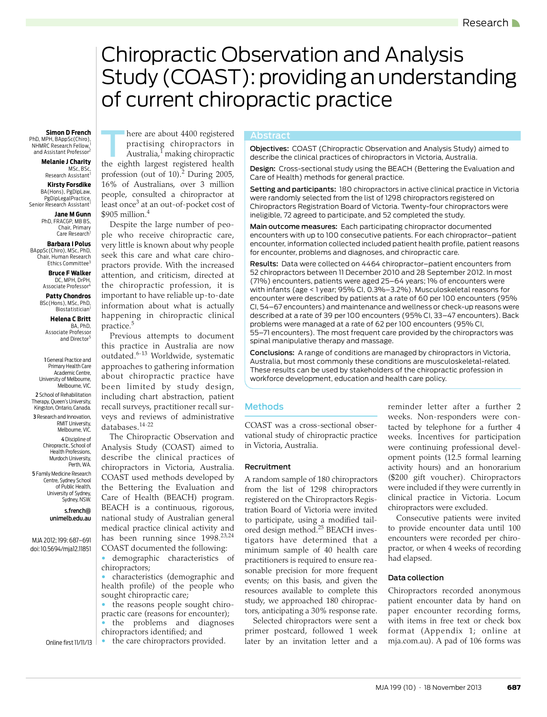# <span id="page-0-0"></span>Chiropractic Observation and Analysis Study (COAST): providing an understanding of current chiropractic practice

**Simon D French Construct Simon D French Construct Construct Construct Construct Construct Construct Construct Construct Construct Construct Construct Construct Construct Construct Constru** PhD, MPH, BAppSc(Chiro), NHMRC Research Fellow,<sup>1</sup> and Assistant Professor2

**Melanie J Charity**

,MSc, BSc<br>Research Assistant<sup>1</sup> **Kirsty Forsdike** BA(Hons), PgDipLaw, PgDipLegalPractice, Senior Research Assistant<sup>1</sup>

**Jane M Gunn** PhD, FRACGP, MB BS Chair, Primary Care Research<sup>1</sup>

**Barbara I Polus** BAppSc(Chiro), MSc, PhD, Chair, Human Research Ethics Committee<sup>3</sup>

> **Bruce F Walker** DC, MPH, DrPH, Associate Professor

**Patty Chondros** BSc(Hons), MSc, PhD,

Biostatistician **Helena C Britt** BA, PhD, Associate Professor

and Director<sup>5</sup> 1 General Practice and

Primary Health Care Academic Centre, University of Melbourne, Melbourne, VIC. 2 School of Rehabilitation Therapy, Queen's University, Kingston, Ontario, Canada. 3 Research and Innovation, RMIT University, Melbourne, VIC. 4 Discipline of Chiropractic, School of Health Professions, Murdoch University, Perth, WA.

5 Family Medicine Research Centre, Sydney School of Public Health, University of Sydney, Sydney, NSW.

> s.french@ unimelb.edu.au

Online first 11/11/13

MJA 2012; 199: [687–](#page-0-0)[691](#page-4-12) doi: 10.5694/mja12.11851

Australia,<sup>1</sup> making chiropractic the eighth largest registered health profession (out of 10).<sup>[2](#page-4-1)</sup> During 2005, 16% of Australians, over 3 million

practising chiropractors in

\$905 million.[4](#page-4-3) Despite the large number of people who receive chiropractic care, very little is known about why people seek this care and what care chiropractors provide. With the increased attention, and criticism, directed at the chiropractic profession, it is important to have reliable up-to-date information about what is actually happening in chiropractic clinical practice.[5](#page-4-4)

people, consulted a chiropractor at least once<sup>[3](#page-4-2)</sup> at an out-of-pocket cost of

Previous attempts to document this practice in Australia are now outdated.[6](#page-4-5)[-13](#page-4-6) Worldwide, systematic approaches to gathering information about chiropractic practice have been limited by study design, including chart abstraction, patient recall surveys, practitioner recall surveys and reviews of administrative databases.[14-](#page-4-7)[22](#page-4-8)

The Chiropractic Observation and Analysis Study (COAST) aimed to describe the clinical practices of chiropractors in Victoria, Australia. COAST used methods developed by the Bettering the Evaluation and Care of Health (BEACH) program. BEACH is a continuous, rigorous, national study of Australian general medical practice clinical activity and has been running since 1998.<sup>[23](#page-4-9)[,24](#page-4-10)</sup> COAST documented the following:

demographic characteristics of chiropractors;

 $\parallel \bullet \parallel$  characteristics (demographic and  $\vert$  health profile) of t[he](#page-4-12) people who sought chiropractic care;

www.mja.com.au the reasons people sought chiropractic care (reasons for encounter); • the problems and diagnoses

chiropractors identified; and • the care chiropractors provided.

Abstract<br> **Objectives:** COAST (Chiropractic Observation and Analysis Study) aimed to describe the clinical practices of chiropractors in Victoria, Australia.

Design: Cross-sectional study using the BEACH (Bettering the Evaluation and Care of Health) methods for general practice.

Setting and participants: 180 chiropractors in active clinical practice in Victoria were randomly selected from the list of 1298 chiropractors registered on Chiropractors Registration Board of Victoria. Twenty-four chiropractors were ineligible, 72 agreed to participate, and 52 completed the study.

Main outcome measures: Each participating chiropractor documented encounters with up to 100 consecutive patients. For each chiropractor–patient encounter, information collected included patient health profile, patient reasons for encounter, problems and diagnoses, and chiropractic care.

Results: Data were collected on 4464 chiropractor–patient encounters from 52 chiropractors between 11 December 2010 and 28 September 2012. In most (71%) encounters, patients were aged 25–64 years; 1% of encounters were with infants (age < 1 year; 95% CI, 0.3%–3.2%). Musculoskeletal reasons for encounter were described by patients at a rate of 60 per 100 encounters (95% CI, 54–67 encounters) and maintenance and wellness or check-up reasons were described at a rate of 39 per 100 encounters (95% CI, 33–47 encounters). Back problems were managed at a rate of 62 per 100 encounters (95% CI, 55–71 encounters). The most frequent care provided by the chiropractors was spinal manipulative therapy and massage.

Conclusions: A range of conditions are managed by chiropractors in Victoria, Australia, but most commonly these conditions are musculoskeletal-related. These results can be used by stakeholders of the chiropractic profession in workforce development, education and health care policy.

## Methods

COAST was a cross-sectional observational study of chiropractic practice in Victoria, Australia.

### Recruitment

A random sample of 180 chiropractors from the list of 1298 chiropractors registered on the Chiropractors Registration Board of Victoria were invited to participate, using a modified tailored design method.[25](#page-4-11) BEACH investigators have determined that a minimum sample of 40 health care practitioners is required to ensure reasonable precision for more frequent events; on this basis, and given the resources available to complete this study, we approached 180 chiropractors, anticipating a 30% response rate.

Selected chiropractors were sent a primer postcard, followed 1 week later by an invitation letter and a reminder letter after a further 2 weeks. Non-responders were contacted by telephone for a further 4 weeks. Incentives for participation were continuing professional development points (12.5 formal learning activity hours) and an honorarium (\$200 gift voucher). Chiropractors were included if they were currently in clinical practice in Victoria. Locum chiropractors were excluded.

Consecutive patients were invited to provide encounter data until 100 encounters were recorded per chiropractor, or when 4 weeks of recording had elapsed.

### Data collection

Chiropractors recorded anonymous patient encounter data by hand on paper encounter recording forms, with items in free text or check box format (Appendix 1; online at mja.com.au). A pad of 106 forms was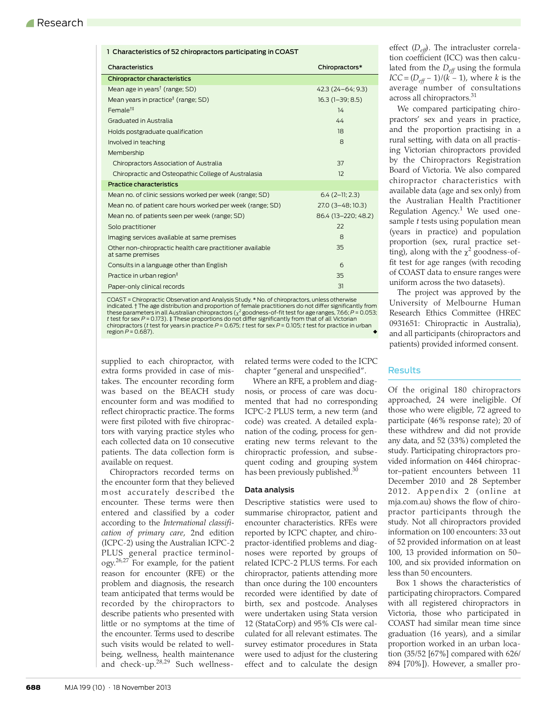| 1 Characteristics of 52 chiropractors participating in COAST                  |                     |  |  |
|-------------------------------------------------------------------------------|---------------------|--|--|
| Characteristics                                                               | Chiropractors*      |  |  |
| Chiropractor characteristics                                                  |                     |  |  |
| Mean age in years <sup>†</sup> (range; SD)                                    | 42.3 (24-64; 9.3)   |  |  |
| Mean years in practice <sup>#</sup> (range; SD)                               | $16.3(1-39; 8.5)$   |  |  |
| Female <sup>t#</sup>                                                          | 14                  |  |  |
| Graduated in Australia                                                        | 44                  |  |  |
| Holds postgraduate qualification                                              | 18                  |  |  |
| Involved in teaching                                                          | 8                   |  |  |
| Membership                                                                    |                     |  |  |
| Chiropractors Association of Australia                                        | 37                  |  |  |
| Chiropractic and Osteopathic College of Australasia                           | 12                  |  |  |
| Practice characteristics                                                      |                     |  |  |
| Mean no. of clinic sessions worked per week (range; SD)                       | $6.4(2-11; 2.3)$    |  |  |
| Mean no. of patient care hours worked per week (range; SD)                    | 27.0 (3-48; 10.3)   |  |  |
| Mean no. of patients seen per week (range; SD)                                | 86.4 (13-220; 48.2) |  |  |
| Solo practitioner                                                             | 22                  |  |  |
| Imaging services available at same premises                                   | 8                   |  |  |
| Other non-chiropractic health care practitioner available<br>at same premises | 35                  |  |  |
| Consults in a language other than English                                     | 6                   |  |  |
| Practice in urban region <sup>#</sup>                                         | 35                  |  |  |
| Paper-only clinical records                                                   | 31                  |  |  |
|                                                                               |                     |  |  |

COAST = Chiropractic Observation and Analysis Study. \* No. of chiropractors, unless otherwise indicated. † The age distribution and proportion of female practitioners do not differ significantly from these parameters in all Australian chiropractors ( $\chi^2$  goodness-of-fit test for age ranges, 7.66; *P* = 0.053; t test for sex P = 0.173). ‡ These proportions do not differ significantly from that of all Victorian<br>chiropractors (*t* test for years in practice P = 0.675; t test for sex P = 0.105; t test for practice in urban  $region P = 0.687$ ).

supplied to each chiropractor, with extra forms provided in case of mistakes. The encounter recording form was based on the BEACH study encounter form and was modified to reflect chiropractic practice. The forms were first piloted with five chiropractors with varying practice styles who each collected data on 10 consecutive patients. The data collection form is available on request.

Chiropractors recorded terms on the encounter form that they believed most accurately described the encounter. These terms were then entered and classified by a coder according to the *International classification of primary care*, 2nd edition (ICPC-2) using the Australian ICPC-2 PLUS general practice terminology[.26](#page-4-13),[27](#page-4-14) For example, for the patient reason for encounter (RFE) or the problem and diagnosis, the research team anticipated that terms would be recorded by the chiropractors to describe patients who presented with little or no symptoms at the time of the encounter. Terms used to describe such visits would be related to wellbeing, wellness, health maintenance and check-up.[28,](#page-4-15)[29](#page-4-16) Such wellnessrelated terms were coded to the ICPC chapter "general and unspecified".

Where an RFE, a problem and diagnosis, or process of care was documented that had no corresponding ICPC-2 PLUS term, a new term (and code) was created. A detailed explanation of the coding, process for generating new terms relevant to the chiropractic profession, and subsequent coding and grouping system has been previously published.<sup>[30](#page-4-17)</sup>

#### Data analysis

Descriptive statistics were used to summarise chiropractor, patient and encounter characteristics. RFEs were reported by ICPC chapter, and chiropractor-identified problems and diagnoses were reported by groups of related ICPC-2 PLUS terms. For each chiropractor, patients attending more than once during the 100 encounters recorded were identified by date of birth, sex and postcode. Analyses were undertaken using Stata version 12 (StataCorp) and 95% CIs were calculated for all relevant estimates. The survey estimator procedures in Stata were used to adjust for the clustering effect and to calculate the design

effect ( $D_{\text{eff}}$ ). The intracluster correlation coefficient (ICC) was then calculated from the *Deff* using the formula *ICC* =  $(D_{\text{eff}} - 1)/(k - 1)$ , where *k* is the average number of consultations across all chiropractors.<sup>[31](#page-4-18)</sup>

We compared participating chiropractors' sex and years in practice, and the proportion practising in a rural setting, with data on all practising Victorian chiropractors provided by the Chiropractors Registration Board of Victoria. We also compared chiropractor characteristics with available data (age and sex only) from the Australian Health Practitioner Regulation Agency.<sup>1</sup> We used onesample *t* tests using population mean (years in practice) and population proportion (sex, rural practice setting), along with the  $\chi^2$  goodness-offit test for age ranges (with recoding of COAST data to ensure ranges were uniform across the two datasets).

The project was approved by the University of Melbourne Human Research Ethics Committee (HREC 0931651: Chiropractic in Australia), and all participants (chiropractors and patients) provided informed consent.

### Results

Of the original 180 chiropractors approached, 24 were ineligible. Of those who were eligible, 72 agreed to participate (46% response rate); 20 of these withdrew and did not provide any data, and 52 (33%) completed the study. Participating chiropractors provided information on 4464 chiropractor–patient encounters between 11 December 2010 and 28 September 2012. Appendix 2 (online at mja.com.au) shows the flow of chiropractor participants through the study. Not all chiropractors provided information on 100 encounters: 33 out of 52 provided information on at least 100, 13 provided information on 50– 100, and six provided information on less than 50 encounters.

Box 1 shows the characteristics of participating chiropractors. Compared with all registered chiropractors in Victoria, those who participated in COAST had similar mean time since graduation (16 years), and a similar proportion worked in an urban location (35/52 [67%] compared with 626/ 894 [70%]). However, a smaller pro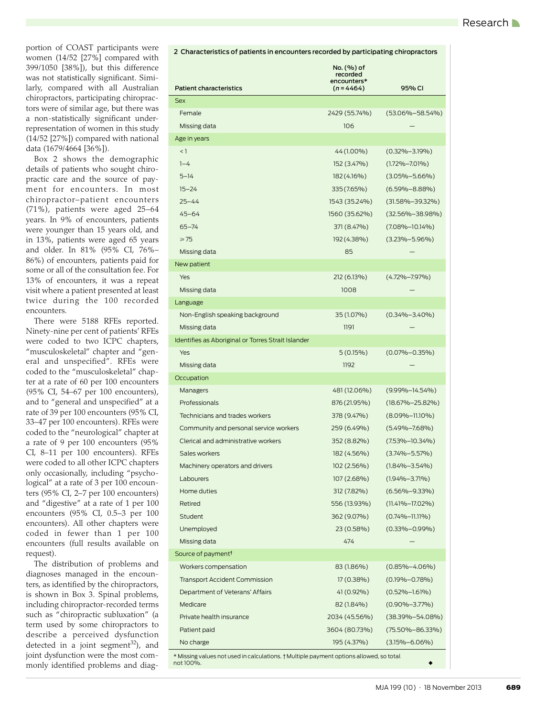portion of COAST participants were women (14/52 [27%] compared with 399/1050 [38%]), but this difference was not statistically significant. Similarly, compared with all Australian chiropractors, participating chiropractors were of similar age, but there was a non-statistically significant underrepresentation of women in this study (14/52 [27%]) compared with national data (1679/4664 [36%]).

Box 2 shows the demographic details of patients who sought chiropractic care and the source of payment for encounters. In most chiropractor–patient encounters (71%), patients were aged 25–64 years. In 9% of encounters, patients were younger than 15 years old, and in 13%, patients were aged 65 years and older. In 81% (95% CI, 76%– 86%) of encounters, patients paid for some or all of the consultation fee. For 13% of encounters, it was a repeat visit where a patient presented at least twice during the 100 recorded encounters.

There were 5188 RFEs reported. Ninety-nine per cent of patients' RFEs were coded to two ICPC chapters, "musculoskeletal" chapter and "general and unspecified". RFEs were coded to the "musculoskeletal" chapter at a rate of 60 per 100 encounters (95% CI, 54–67 per 100 encounters), and to "general and unspecified" at a rate of 39 per 100 encounters (95% CI, 33–47 per 100 encounters). RFEs were coded to the "neurological" chapter at a rate of 9 per 100 encounters (95% CI, 8–11 per 100 encounters). RFEs were coded to all other ICPC chapters only occasionally, including "psychological" at a rate of 3 per 100 encounters (95% CI, 2–7 per 100 encounters) and "digestive" at a rate of 1 per 100 encounters (95% CI, 0.5–3 per 100 encounters). All other chapters were coded in fewer than 1 per 100 encounters (full results available on request).

The distribution of problems and diagnoses managed in the encounters, as identified by the chiropractors, is shown in Box 3. Spinal problems, including chiropractor-recorded terms such as "chiropractic subluxation" (a term used by some chiropractors to describe a perceived dysfunction detected in a joint segment<sup>[32](#page-4-19)</sup>), and joint dysfunction were the most commonly identified problems and diag-

|                                                                                       | recorded<br>encounters* |                       |
|---------------------------------------------------------------------------------------|-------------------------|-----------------------|
| <b>Patient characteristics</b>                                                        | $(n = 4464)$            | 95% CI                |
| <b>Sex</b>                                                                            |                         |                       |
| Female                                                                                | 2429 (55.74%)           | (53.06%-58.54%)       |
| Missing data                                                                          | 106                     |                       |
| Age in years                                                                          |                         |                       |
| $<$ 1                                                                                 | 44 (1.00%)              | $(0.32\% - 3.19\%)$   |
| $1 - 4$                                                                               | 152 (3.47%)             | $(1.72\% - 7.01\%)$   |
| $5 - 14$                                                                              | 182 (4.16%)             | $(3.05\% - 5.66\%)$   |
| $15 - 24$                                                                             | 335 (7.65%)             | $(6.59\% - 8.88\%)$   |
| $25 - 44$                                                                             | 1543 (35.24%)           | $(31.58\% - 39.32\%)$ |
| $45 - 64$                                                                             | 1560 (35.62%)           | $(32.56\% - 38.98\%)$ |
| $65 - 74$                                                                             | 371 (8.47%)             | (7.08%–10.14%)        |
| $\geq 75$                                                                             | 192 (4.38%)             | $(3.23\% - 5.96\%)$   |
| Missing data                                                                          | 85                      |                       |
| New patient                                                                           |                         |                       |
| Yes                                                                                   | 212 (6.13%)             | (4.72%–7.97%)         |
| Missing data                                                                          | 1008                    |                       |
| Language                                                                              |                         |                       |
| Non-English speaking background                                                       | 35 (1.07%)              | $(0.34\% - 3.40\%)$   |
| Missing data                                                                          | 1191                    |                       |
| Identifies as Aboriginal or Torres Strait Islander                                    |                         |                       |
| Yes                                                                                   | $5(0.15\%)$             | $(0.07\% - 0.35\%)$   |
| Missing data                                                                          | 1192                    |                       |
| Occupation                                                                            |                         |                       |
| Managers                                                                              | 481 (12.06%)            | $(9.99\% - 14.54\%)$  |
| Professionals                                                                         | 876 (21.95%)            | $(18.67\% - 25.82\%)$ |
| Technicians and trades workers                                                        | 378 (9.47%)             | $(8.09\% - 11.10\%)$  |
| Community and personal service workers                                                | 259 (6.49%)             | $(5.49\% - 7.68\%)$   |
| Clerical and administrative workers                                                   | 352 (8.82%)             | (7.53%–10.34%)        |
| Sales workers                                                                         | 182 (4.56%)             | (3.74%–5.57%)         |
| Machinery operators and drivers                                                       | 102 (2.56%)             | $(1.84\% - 3.54\%)$   |
| Labourers                                                                             | 107 (2.68%)             | $(1.94\% - 3.71\%)$   |
| Home duties                                                                           | 312 (7.82%)             | $(6.56\% - 9.33\%)$   |
| Retired                                                                               | 556 (13.93%)            | $(11.41\% - 17.02\%)$ |
| Student                                                                               | 362 (9.07%)             | $(0.74\% - 11.11\%)$  |
| Unemployed                                                                            | 23 (0.58%)              | $(0.33\% - 0.99\%)$   |
| Missing data                                                                          | 474                     |                       |
| Source of payment <sup>†</sup>                                                        |                         |                       |
| Workers compensation                                                                  | 83 (1.86%)              | $(0.85\% - 4.06\%)$   |
| <b>Transport Accident Commission</b>                                                  | $17(0.38\%)$            | $(0.19\% - 0.78\%)$   |
| Department of Veterans' Affairs                                                       | 41 (0.92%)              | $(0.52\% - 1.61\%)$   |
| Medicare                                                                              | 82 (1.84%)              | $(0.90\% - 3.77\%)$   |
| Private health insurance                                                              | 2034 (45.56%)           | $(38.39\% - 54.08\%)$ |
| Patient paid                                                                          | 3604 (80.73%)           | (75.50%-86.33%)       |
| No charge                                                                             | 195 (4.37%)             | $(3.15\% - 6.06\%)$   |
| * Missing values not used in calculations + Multiple payment options allowed so total |                         |                       |

2 Characteristics of patients in encounters recorded by participating chiropractors

No. (%) of

\* Missing values not used in calculations. † Multiple payment options allowed, so total not 100%.  $\blacklozenge$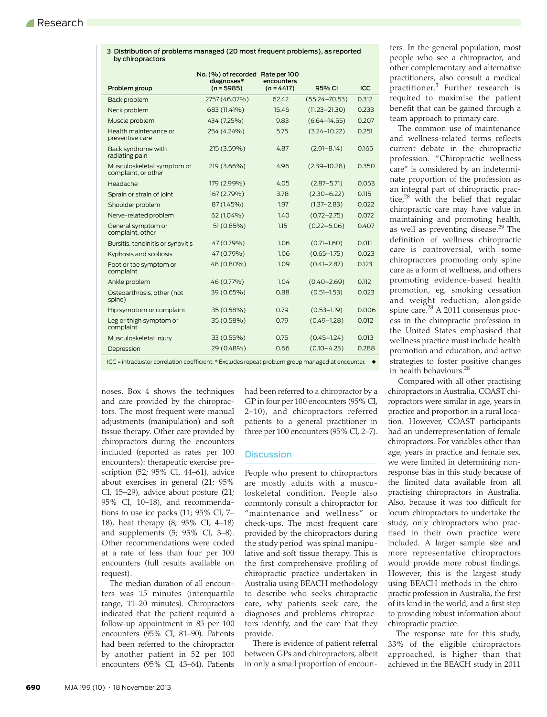| by chiropractors                                  |                                                         |              |                   |       |
|---------------------------------------------------|---------------------------------------------------------|--------------|-------------------|-------|
|                                                   | No. (%) of recorded Rate per 100<br>diagnoses*          | encounters   |                   |       |
| Problem group                                     | $(n = 5985)$                                            | $(n = 4417)$ | 95% CI            | ICC   |
| Back problem                                      | 2757 (46.07%)                                           | 62.42        | $(55.24 - 70.53)$ | 0.312 |
| Neck problem                                      | 683 (11.41%)                                            | 15.46        | $(11.23 - 21.30)$ | 0.233 |
| Muscle problem                                    | 434 (7.25%)                                             | 9.83         | $(6.64 - 14.55)$  | 0.207 |
| Health maintenance or<br>preventive care          | 254 (4.24%)                                             | 5.75         | $(3.24 - 10.22)$  | 0.251 |
| Back syndrome with<br>radiating pain              | 215 (3.59%)                                             | 4.87         | $(2.91 - 8.14)$   | 0.165 |
| Musculoskeletal symptom or<br>complaint, or other | 219 (3.66%)                                             | 4.96         | $(2.39 - 10.28)$  | 0.350 |
| Headache                                          | 179 (2.99%)                                             | 4.05         | $(2.87 - 5.71)$   | 0.053 |
| Sprain or strain of joint                         | 167 (2.79%)                                             | 3.78         | $(2.30 - 6.22)$   | 0.115 |
| Shoulder problem                                  | 87 (1.45%)                                              | 1.97         | $(1.37 - 2.83)$   | 0.022 |
| Nerve-related problem                             | 62 (1.04%)                                              | 1.40         | $(0.72 - 2.75)$   | 0.072 |
| General symptom or<br>complaint, other            | 51 (0.85%)                                              | 1.15         | $(0.22 - 6.06)$   | 0.407 |
| Bursitis, tendinitis or synovitis                 | 47 (0.79%)                                              | 1.06         | $(0.71 - 1.60)$   | 0.011 |
| Kyphosis and scoliosis                            | 47 (0.79%)                                              | 1.06         | $(0.65 - 1.75)$   | 0.023 |
| Foot or toe symptom or<br>complaint               | 48 (0.80%)                                              | 1.09         | $(0.41 - 2.87)$   | 0.123 |
| Ankle problem                                     | 46 (0.77%)                                              | 1.04         | $(0.40 - 2.69)$   | 0.112 |
| Osteoarthrosis, other (not<br>spine)              | 39 (0.65%)                                              | 0.88         | $(0.51 - 1.53)$   | 0.023 |
| Hip symptom or complaint                          | 35 (0.58%)                                              | 0.79         | $(0.53 - 1.19)$   | 0.006 |
| Leg or thigh symptom or<br>complaint              | 35 (0.58%)                                              | 0.79         | $(0.49 - 1.28)$   | 0.012 |
| Musculoskeletal injury                            | 33 (0.55%)                                              | 0.75         | $(0.45 - 1.24)$   | 0.013 |
| Depression                                        | 29 (0.48%)                                              | 0.66         | $(0.10 - 4.23)$   | 0.288 |
| $\sim$ $\sim$ $\sim$                              | $\sim$ $\sim$ $\sim$ $\sim$ $\sim$ $\sim$ $\sim$ $\sim$ |              |                   |       |

3 Distribution of problems managed (20 most frequent problems), as reported by chiropractors

ICC = intracluster correlation coefficient. \* Excludes repeat problem group managed at encounter. ◆

noses. Box 4 shows the techniques and care provided by the chiropractors. The most frequent were manual adjustments (manipulation) and soft tissue therapy. Other care provided by chiropractors during the encounters included (reported as rates per 100 encounters): therapeutic exercise prescription (52; 95% CI, 44–61), advice about exercises in general (21; 95% CI, 15–29), advice about posture (21; 95% CI, 10–18), and recommendations to use ice packs (11; 95% CI, 7– 18), heat therapy (8; 95% CI, 4–18) and supplements (5; 95% CI, 3–8). Other recommendations were coded at a rate of less than four per 100 encounters (full results available on request).

The median duration of all encounters was 15 minutes (interquartile range, 11–20 minutes). Chiropractors indicated that the patient required a follow-up appointment in 85 per 100 encounters (95% CI, 81–90). Patients had been referred to the chiropractor by another patient in 52 per 100 encounters (95% CI, 43–64). Patients had been referred to a chiropractor by a GP in four per 100 encounters (95% CI, 2–10), and chiropractors referred patients to a general practitioner in three per 100 encounters (95% CI, 2–7).

#### **Discussion**

People who present to chiropractors are mostly adults with a musculoskeletal condition. People also commonly consult a chiropractor for "maintenance and wellness" or check-ups. The most frequent care provided by the chiropractors during the study period was spinal manipulative and soft tissue therapy. This is the first comprehensive profiling of chiropractic practice undertaken in Australia using BEACH methodology to describe who seeks chiropractic care, why patients seek care, the diagnoses and problems chiropractors identify, and the care that they provide.

There is evidence of patient referral between GPs and chiropractors, albeit in only a small proportion of encounters. In the general population, most people who see a chiropractor, and other complementary and alternative practitioners, also consult a medical practitioner[.3](#page-4-2) Further research is required to maximise the patient benefit that can be gained through a team approach to primary care.

The common use of maintenance and wellness-related terms reflects current debate in the chiropractic profession. "Chiropractic wellness care" is considered by an indeterminate proportion of the profession as an integral part of chiropractic practice, $28$  with the belief that regular chiropractic care may have value in maintaining and promoting health, as well as preventing disease.<sup>29</sup> The definition of wellness chiropractic care is controversial, with some chiropractors promoting only spine care as a form of wellness, and others promoting evidence-based health promotion, eg, smoking cessation and weight reduction, alongside spine care.<sup>28</sup> A 2011 consensus process in the chiropractic profession in the United States emphasised that wellness practice must include health promotion and education, and active strategies to foster positive changes in health behaviours.<sup>28</sup>

Compared with all other practising chiropractors in Australia, COAST chiropractors were similar in age, years in practice and proportion in a rural location. However, COAST participants had an underrepresentation of female chiropractors. For variables other than age, years in practice and female sex, we were limited in determining nonresponse bias in this study because of the limited data available from all practising chiropractors in Australia. Also, because it was too difficult for locum chiropractors to undertake the study, only chiropractors who practised in their own practice were included. A larger sample size and more representative chiropractors would provide more robust findings. However, this is the largest study using BEACH methods in the chiropractic profession in Australia, the first of its kind in the world, and a first step to providing robust information about chiropractic practice.

The response rate for this study, 33% of the eligible chiropractors approached, is higher than that achieved in the BEACH study in 2011